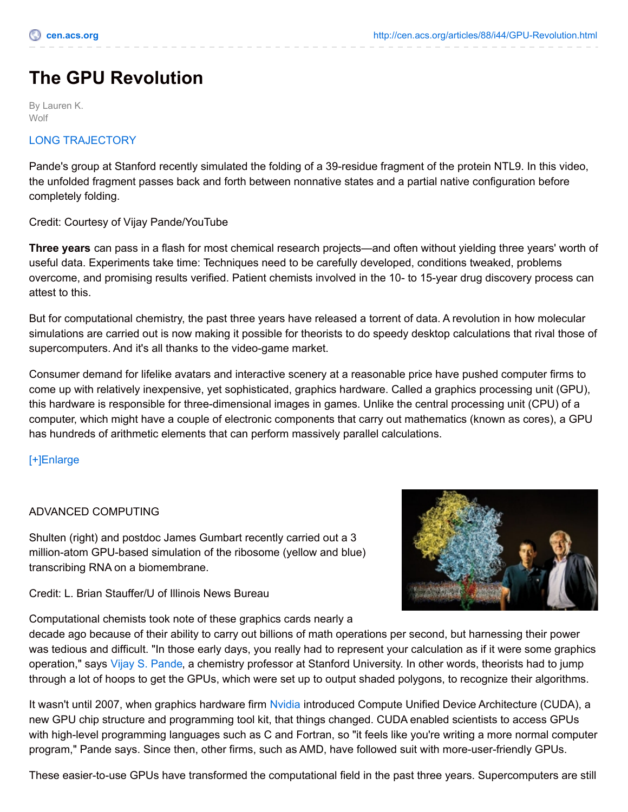# **The GPU Revolution**

By Lauren K. **Wolf** 

## LONG [TRAJECTORY](http://cen.acs.org/media/video/2010/10/cen-gFcp2Xpd29Ifs=1_hl=en_US-vid1.html)

Pande's group at Stanford recently simulated the folding of a 39-residue fragment of the protein NTL9. In this video, the unfolded fragment passes back and forth between nonnative states and a partial native configuration before completely folding.

## Credit: Courtesy of Vijay Pande/YouTube

**Three years** can pass in a flash for most chemical research projects—and often without yielding three years' worth of useful data. Experiments take time: Techniques need to be carefully developed, conditions tweaked, problems overcome, and promising results verified. Patient chemists involved in the 10- to 15-year drug discovery process can attest to this.

But for computational chemistry, the past three years have released a torrent of data. A revolution in how molecular simulations are carried out is now making it possible for theorists to do speedy desktop calculations that rival those of supercomputers. And it's all thanks to the video-game market.

Consumer demand for lifelike avatars and interactive scenery at a reasonable price have pushed computer firms to come up with relatively inexpensive, yet sophisticated, graphics hardware. Called a graphics processing unit (GPU), this hardware is responsible for three-dimensional images in games. Unlike the central processing unit (CPU) of a computer, which might have a couple of electronic components that carry out mathematics (known as cores), a GPU has hundreds of arithmetic elements that can perform massively parallel calculations.

## [\[+\]Enlarge](javascript:doMediaModal({)

#### ADVANCED COMPUTING

Shulten (right) and postdoc James Gumbart recently carried out a 3 million-atom GPU-based simulation of the ribosome (yellow and blue) transcribing RNA on a biomembrane.

Credit: L. Brian Stauffer/U of Illinois News Bureau

Computational chemists took note of these graphics cards nearly a



decade ago because of their ability to carry out billions of math operations per second, but harnessing their power was tedious and difficult. "In those early days, you really had to represent your calculation as if it were some graphics operation," says Vijay S. [Pande](http://www.stanford.edu/dept/chemistry/faculty/pande/), a chemistry professor at Stanford University. In other words, theorists had to jump through a lot of hoops to get the GPUs, which were set up to output shaded polygons, to recognize their algorithms.

It wasn't until 2007, when graphics hardware firm [Nvidia](http://www.nvidia.com/content/global/global.php) introduced Compute Unified Device Architecture (CUDA), a new GPU chip structure and programming tool kit, that things changed. CUDA enabled scientists to access GPUs with high-level programming languages such as C and Fortran, so "it feels like you're writing a more normal computer program," Pande says. Since then, other firms, such as AMD, have followed suit with more-user-friendly GPUs.

These easier-to-use GPUs have transformed the computational field in the past three years. Supercomputers are still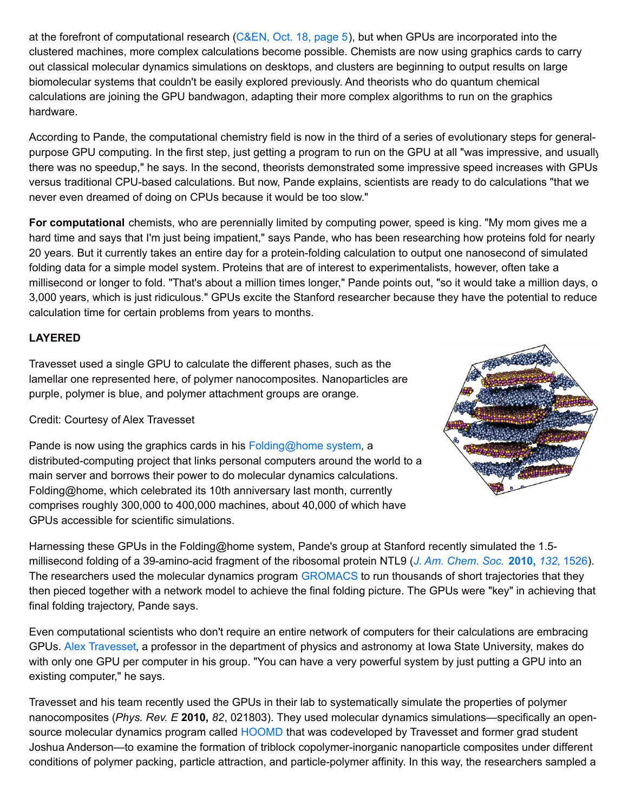at the forefront of computational research [\(C&EN,](http://pubs.acs.org/cen/news/88/i42/8842notw1.html) Oct. 18, page 5), but when GPUs are incorporated into the clustered machines, more complex calculations become possible. Chemists are now using graphics cards to carry out classical molecular dynamics simulations on desktops, and clusters are beginning to output results on large biomolecular systems that couldn't be easily explored previously. And theorists who do quantum chemical calculations are joining the GPU bandwagon, adapting their more complex algorithms to run on the graphics hardware.

According to Pande, the computational chemistry field is now in the third of a series of evolutionary steps for generalpurpose GPU computing. In the first step, just getting a program to run on the GPU at all "was impressive, and usually there was no speedup," he says. In the second, theorists demonstrated some impressive speed increases with GPUs versus traditional CPU-based calculations. But now, Pande explains, scientists are ready to do calculations "that we never even dreamed of doing on CPUs because it would be too slow."

**For computational** chemists, who are perennially limited by computing power, speed is king. "My mom gives me a hard time and says that I'm just being impatient," says Pande, who has been researching how proteins fold for nearly 20 years. But it currently takes an entire day for a protein-folding calculation to output one nanosecond of simulated folding data for a simple model system. Proteins that are of interest to experimentalists, however, often take a millisecond or longer to fold. "That's about a million times longer," Pande points out, "so it would take a million days, o 3,000 years, which is just ridiculous." GPUs excite the Stanford researcher because they have the potential to reduce calculation time for certain problems from years to months.

# **LAYERED**

Travesset used a single GPU to calculate the different phases, such as the lamellar one represented here, of polymer nanocomposites. Nanoparticles are purple, polymer is blue, and polymer attachment groups are orange.

Credit: Courtesy of Alex Travesset

Pande is now using the graphics cards in his  $Folding@home$  system, a distributed-computing project that links personal computers around the world to a main server and borrows their power to do molecular dynamics calculations. Folding@home, which celebrated its 10th anniversary last month, currently comprises roughly 300,000 to 400,000 machines, about 40,000 of which have GPUs accessible for scientific simulations.



Harnessing these GPUs in the Folding@home system, Pande's group at Stanford recently simulated the 1.5 millisecond folding of a 39-amino-acid fragment of the ribosomal protein NTL9 (*J. Am. [Chem.](http://pubs.acs.org/cgi-bin/cen/trustedproxy.cgi?redirect=http://pubs.acs.org/doi/abs/10.1021/ja9090353) Soc.* **2010,** *132*, 1526). The researchers used the molecular dynamics program [GROMACS](http://www.gromacs.org/) to run thousands of short trajectories that they then pieced together with a network model to achieve the final folding picture. The GPUs were "key" in achieving that final folding trajectory, Pande says.

Even computational scientists who don't require an entire network of computers for their calculations are embracing GPUs. Alex [Travesset](http://dmse.ameslab.gov/personnel_shells/travesset.shtml), a professor in the department of physics and astronomy at Iowa State University, makes do with only one GPU per computer in his group. "You can have a very powerful system by just putting a GPU into an existing computer," he says.

Travesset and his team recently used the GPUs in their lab to systematically simulate the properties of polymer nanocomposites (*Phys. Rev. E* **2010,** *82*, 021803). They used molecular dynamics simulations—specifically an opensource molecular dynamics program called [HOOMD](http://codeblue.umich.edu/hoomd-blue/) that was codeveloped by Travesset and former grad student Joshua Anderson—to examine the formation of triblock copolymer-inorganic nanoparticle composites under different conditions of polymer packing, particle attraction, and particle-polymer affinity. In this way, the researchers sampled a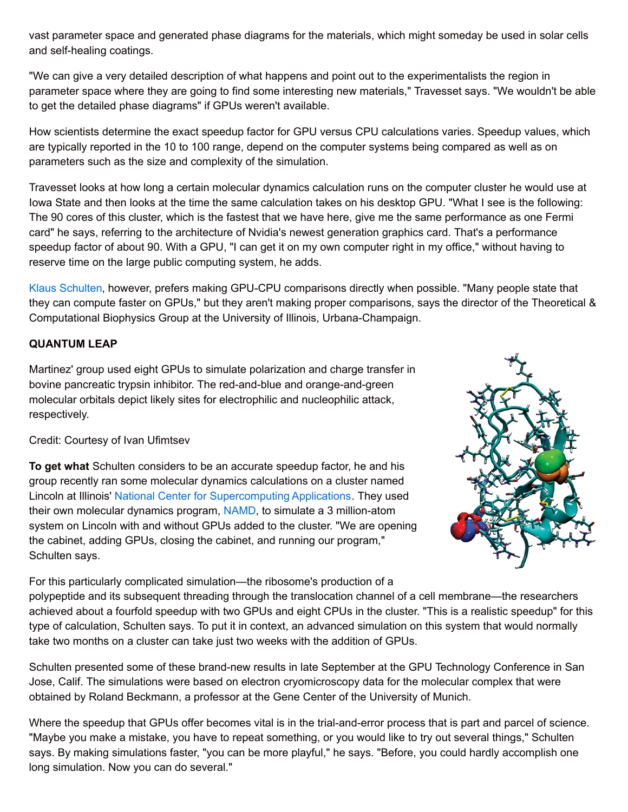vast parameter space and generated phase diagrams for the materials, which might someday be used in solar cells and self-healing coatings.

"We can give a very detailed description of what happens and point out to the experimentalists the region in parameter space where they are going to find some interesting new materials," Travesset says. "We wouldn't be able to get the detailed phase diagrams" if GPUs weren't available.

How scientists determine the exact speedup factor for GPU versus CPU calculations varies. Speedup values, which are typically reported in the 10 to 100 range, depend on the computer systems being compared as well as on parameters such as the size and complexity of the simulation.

Travesset looks at how long a certain molecular dynamics calculation runs on the computer cluster he would use at Iowa State and then looks at the time the same calculation takes on his desktop GPU. "What I see is the following: The 90 cores of this cluster, which is the fastest that we have here, give me the same performance as one Fermi card" he says, referring to the architecture of Nvidia's newest generation graphics card. That's a performance speedup factor of about 90. With a GPU, "I can get it on my own computer right in my office," without having to reserve time on the large public computing system, he adds.

Klaus [Schulten](http://www.ks.uiuc.edu/~kschulte/), however, prefers making GPU-CPU comparisons directly when possible. "Many people state that they can compute faster on GPUs," but they aren't making proper comparisons, says the director of the Theoretical & Computational Biophysics Group at the University of Illinois, Urbana-Champaign.

## **QUANTUM LEAP**

Martinez' group used eight GPUs to simulate polarization and charge transfer in bovine pancreatic trypsin inhibitor. The red-and-blue and orange-and-green molecular orbitals depict likely sites for electrophilic and nucleophilic attack, respectively.

#### Credit: Courtesy of Ivan Ufimtsev

**To get what** Schulten considers to be an accurate speedup factor, he and his group recently ran some molecular dynamics calculations on a cluster named Lincoln at Illinois' National Center for [Supercomputing](http://www.ncsa.illinois.edu/AboutUs/) Applications. They used their own molecular dynamics program, [NAMD](http://www.ks.uiuc.edu/Research/namd/), to simulate a 3 million-atom system on Lincoln with and without GPUs added to the cluster. "We are opening the cabinet, adding GPUs, closing the cabinet, and running our program," Schulten says.



For this particularly complicated simulation—the ribosome's production of a polypeptide and its subsequent threading through the translocation channel of a cell membrane—the researchers achieved about a fourfold speedup with two GPUs and eight CPUs in the cluster. "This is a realistic speedup" for this type of calculation, Schulten says. To put it in context, an advanced simulation on this system that would normally take two months on a cluster can take just two weeks with the addition of GPUs.

Schulten presented some of these brand-new results in late September at the GPU Technology Conference in San Jose, Calif. The simulations were based on electron cryomicroscopy data for the molecular complex that were obtained by Roland Beckmann, a professor at the Gene Center of the University of Munich.

Where the speedup that GPUs offer becomes vital is in the trial-and-error process that is part and parcel of science. "Maybe you make a mistake, you have to repeat something, or you would like to try out several things," Schulten says. By making simulations faster, "you can be more playful," he says. "Before, you could hardly accomplish one long simulation. Now you can do several."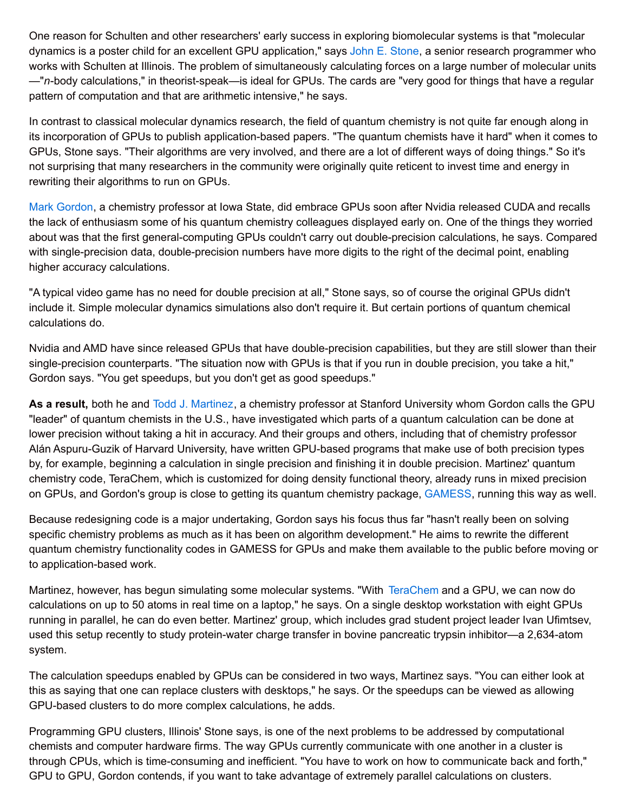One reason for Schulten and other researchers' early success in exploring biomolecular systems is that "molecular dynamics is a poster child for an excellent GPU application," says John E. [Stone](http://www.ks.uiuc.edu/~johns/), a senior research programmer who works with Schulten at Illinois. The problem of simultaneously calculating forces on a large number of molecular units —"*n*-body calculations," in theorist-speak—is ideal for GPUs. The cards are "very good for things that have a regular pattern of computation and that are arithmetic intensive," he says.

In contrast to classical molecular dynamics research, the field of quantum chemistry is not quite far enough along in its incorporation of GPUs to publish application-based papers. "The quantum chemists have it hard" when it comes to GPUs, Stone says. "Their algorithms are very involved, and there are a lot of different ways of doing things." So it's not surprising that many researchers in the community were originally quite reticent to invest time and energy in rewriting their algorithms to run on GPUs.

Mark [Gordon](http://www.chem.iastate.edu/faculty/Mark_Gordon/), a chemistry professor at Iowa State, did embrace GPUs soon after Nvidia released CUDA and recalls the lack of enthusiasm some of his quantum chemistry colleagues displayed early on. One of the things they worried about was that the first general-computing GPUs couldn't carry out double-precision calculations, he says. Compared with single-precision data, double-precision numbers have more digits to the right of the decimal point, enabling higher accuracy calculations.

"A typical video game has no need for double precision at all," Stone says, so of course the original GPUs didn't include it. Simple molecular dynamics simulations also don't require it. But certain portions of quantum chemical calculations do.

Nvidia and AMD have since released GPUs that have double-precision capabilities, but they are still slower than their single-precision counterparts. "The situation now with GPUs is that if you run in double precision, you take a hit," Gordon says. "You get speedups, but you don't get as good speedups."

**As a result,** both he and Todd J. [Martinez](http://www.stanford.edu/dept/chemistry/faculty/martinez/index.html), a chemistry professor at Stanford University whom Gordon calls the GPU "leader" of quantum chemists in the U.S., have investigated which parts of a quantum calculation can be done at lower precision without taking a hit in accuracy. And their groups and others, including that of chemistry professor Alán Aspuru-Guzik of Harvard University, have written GPU-based programs that make use of both precision types by, for example, beginning a calculation in single precision and finishing it in double precision. Martinez' quantum chemistry code, TeraChem, which is customized for doing density functional theory, already runs in mixed precision on GPUs, and Gordon's group is close to getting its quantum chemistry package, [GAMESS](http://www.msg.chem.iastate.edu/gamess/), running this way as well.

Because redesigning code is a major undertaking, Gordon says his focus thus far "hasn't really been on solving specific chemistry problems as much as it has been on algorithm development." He aims to rewrite the different quantum chemistry functionality codes in GAMESS for GPUs and make them available to the public before moving on to application-based work.

Martinez, however, has begun simulating some molecular systems. "With [TeraChem](http://www.petachem.com/) and a GPU, we can now do calculations on up to 50 atoms in real time on a laptop," he says. On a single desktop workstation with eight GPUs running in parallel, he can do even better. Martinez' group, which includes grad student project leader Ivan Ufimtsev, used this setup recently to study protein-water charge transfer in bovine pancreatic trypsin inhibitor—a 2,634-atom system.

The calculation speedups enabled by GPUs can be considered in two ways, Martinez says. "You can either look at this as saying that one can replace clusters with desktops," he says. Or the speedups can be viewed as allowing GPU-based clusters to do more complex calculations, he adds.

Programming GPU clusters, Illinois' Stone says, is one of the next problems to be addressed by computational chemists and computer hardware firms. The way GPUs currently communicate with one another in a cluster is through CPUs, which is time-consuming and inefficient. "You have to work on how to communicate back and forth," GPU to GPU, Gordon contends, if you want to take advantage of extremely parallel calculations on clusters.